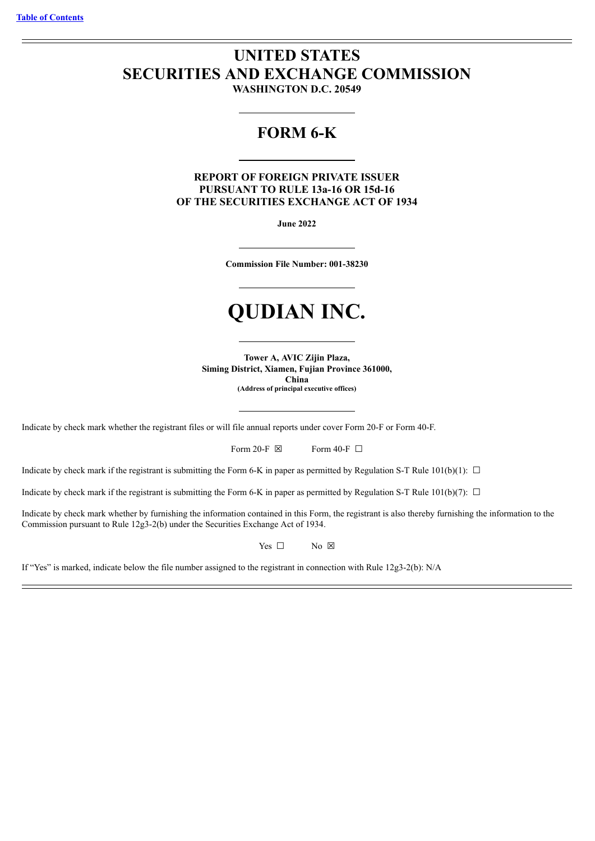# **UNITED STATES SECURITIES AND EXCHANGE COMMISSION WASHINGTON D.C. 20549**

# **FORM 6-K**

**REPORT OF FOREIGN PRIVATE ISSUER PURSUANT TO RULE 13a-16 OR 15d-16 OF THE SECURITIES EXCHANGE ACT OF 1934**

**June 2022**

**Commission File Number: 001-38230**

# **QUDIAN INC.**

**Tower A, AVIC Zijin Plaza, Siming District, Xiamen, Fujian Province 361000, China (Address of principal executive offices)**

Indicate by check mark whether the registrant files or will file annual reports under cover Form 20-F or Form 40-F.

Form 20-F  $\boxtimes$  Form 40-F  $\Box$ 

Indicate by check mark if the registrant is submitting the Form 6-K in paper as permitted by Regulation S-T Rule 101(b)(1):  $\Box$ 

Indicate by check mark if the registrant is submitting the Form 6-K in paper as permitted by Regulation S-T Rule 101(b)(7):  $\Box$ 

Indicate by check mark whether by furnishing the information contained in this Form, the registrant is also thereby furnishing the information to the Commission pursuant to Rule 12g3-2(b) under the Securities Exchange Act of 1934.

Yes □ No ⊠

If "Yes" is marked, indicate below the file number assigned to the registrant in connection with Rule 12g3-2(b): N/A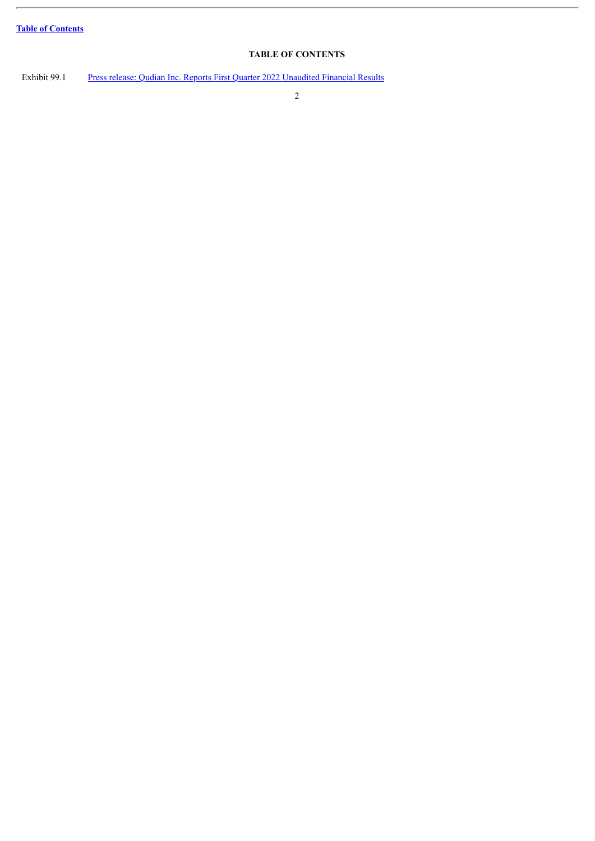ł.

# **TABLE OF CONTENTS**

<span id="page-1-0"></span>Exhibit 99.1 Press release: Qudian Inc. Reports First Quarter 2022 [Unaudited](#page-3-0) Financial Results

2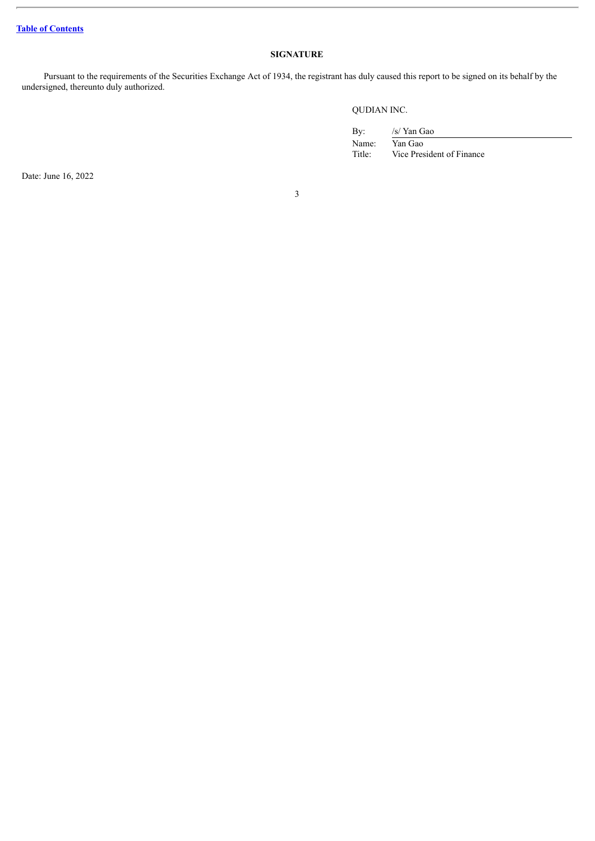# **SIGNATURE**

Pursuant to the requirements of the Securities Exchange Act of 1934, the registrant has duly caused this report to be signed on its behalf by the undersigned, thereunto duly authorized.

QUDIAN INC.

By: /s/ Yan Gao Name: Yan Gao Title: Vice President of Finance

Date: June 16, 2022

3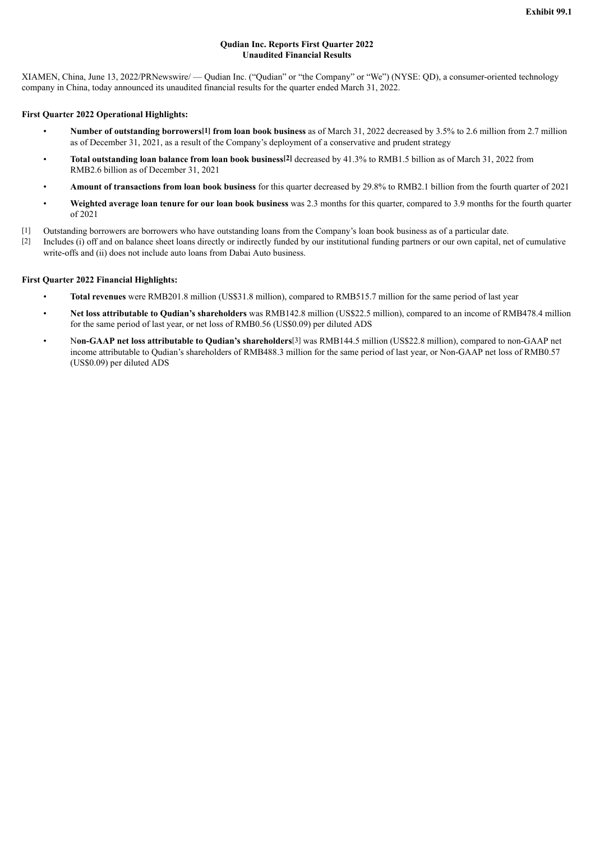### **Qudian Inc. Reports First Quarter 2022 Unaudited Financial Results**

<span id="page-3-0"></span>XIAMEN, China, June 13, 2022/PRNewswire/ — Qudian Inc. ("Qudian" or "the Company" or "We") (NYSE: QD), a consumer-oriented technology company in China, today announced its unaudited financial results for the quarter ended March 31, 2022.

#### **First Quarter 2022 Operational Highlights:**

- **Number of outstanding borrowers[1] from loan book business** as of March 31, 2022 decreased by 3.5% to 2.6 million from 2.7 million as of December 31, 2021, as a result of the Company's deployment of a conservative and prudent strategy
- **Total outstanding loan balance from loan book business[2]** decreased by 41.3% to RMB1.5 billion as of March 31, 2022 from RMB2.6 billion as of December 31, 2021
- **Amount of transactions from loan book business** for this quarter decreased by 29.8% to RMB2.1 billion from the fourth quarter of 2021
- **Weighted average loan tenure for our loan book business** was 2.3 months for this quarter, compared to 3.9 months for the fourth quarter of 2021
- [1] Outstanding borrowers are borrowers who have outstanding loans from the Company's loan book business as of a particular date.
- [2] Includes (i) off and on balance sheet loans directly or indirectly funded by our institutional funding partners or our own capital, net of cumulative write-offs and (ii) does not include auto loans from Dabai Auto business.

#### **First Quarter 2022 Financial Highlights:**

- **Total revenues** were RMB201.8 million (US\$31.8 million), compared to RMB515.7 million for the same period of last year
- **Net loss attributable to Qudian's shareholders** was RMB142.8 million (US\$22.5 million), compared to an income of RMB478.4 million for the same period of last year, or net loss of RMB0.56 (US\$0.09) per diluted ADS
- N**on-GAAP net loss attributable to Qudian's shareholders**[3] was RMB144.5 million (US\$22.8 million), compared to non-GAAP net income attributable to Qudian's shareholders of RMB488.3 million for the same period of last year, or Non-GAAP net loss of RMB0.57 (US\$0.09) per diluted ADS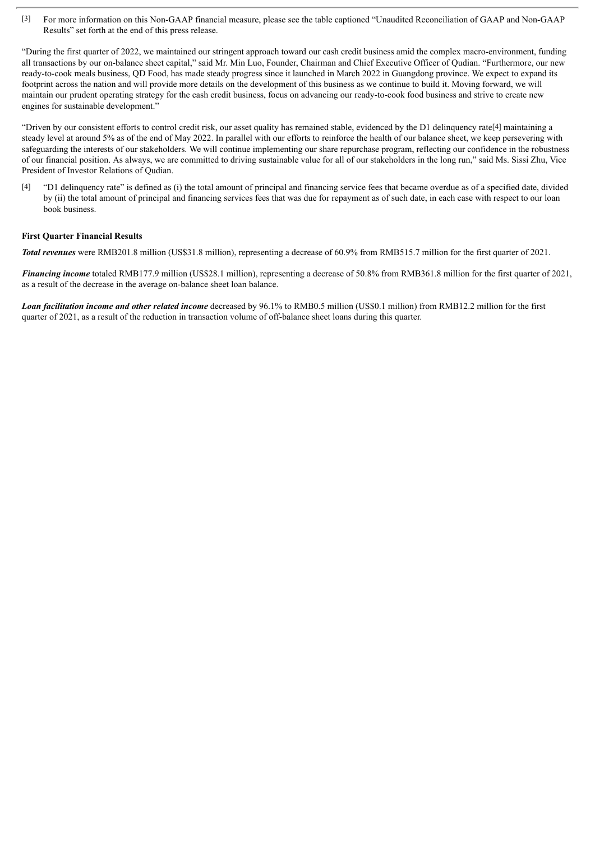[3] For more information on this Non-GAAP financial measure, please see the table captioned "Unaudited Reconciliation of GAAP and Non-GAAP Results" set forth at the end of this press release.

"During the first quarter of 2022, we maintained our stringent approach toward our cash credit business amid the complex macro-environment, funding all transactions by our on-balance sheet capital," said Mr. Min Luo, Founder, Chairman and Chief Executive Officer of Qudian. "Furthermore, our new ready-to-cook meals business, QD Food, has made steady progress since it launched in March 2022 in Guangdong province. We expect to expand its footprint across the nation and will provide more details on the development of this business as we continue to build it. Moving forward, we will maintain our prudent operating strategy for the cash credit business, focus on advancing our ready-to-cook food business and strive to create new engines for sustainable development."

"Driven by our consistent efforts to control credit risk, our asset quality has remained stable, evidenced by the D1 delinquency rate[4] maintaining a steady level at around 5% as of the end of May 2022. In parallel with our efforts to reinforce the health of our balance sheet, we keep persevering with safeguarding the interests of our stakeholders. We will continue implementing our share repurchase program, reflecting our confidence in the robustness of our financial position. As always, we are committed to driving sustainable value for all of our stakeholders in the long run," said Ms. Sissi Zhu, Vice President of Investor Relations of Qudian.

[4] "D1 delinquency rate" is defined as (i) the total amount of principal and financing service fees that became overdue as of a specified date, divided by (ii) the total amount of principal and financing services fees that was due for repayment as of such date, in each case with respect to our loan book business.

#### **First Quarter Financial Results**

*Total revenues* were RMB201.8 million (US\$31.8 million), representing a decrease of 60.9% from RMB515.7 million for the first quarter of 2021.

*Financing income* totaled RMB177.9 million (US\$28.1 million), representing a decrease of 50.8% from RMB361.8 million for the first quarter of 2021, as a result of the decrease in the average on-balance sheet loan balance.

*Loan facilitation income and other related income* decreased by 96.1% to RMB0.5 million (US\$0.1 million) from RMB12.2 million for the first quarter of 2021, as a result of the reduction in transaction volume of off-balance sheet loans during this quarter.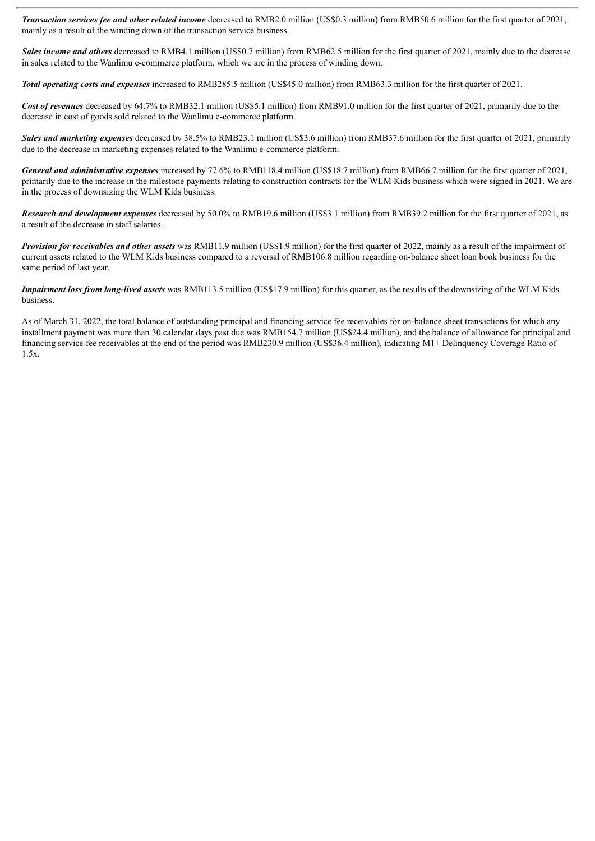*Transaction services fee and other related income* decreased to RMB2.0 million (US\$0.3 million) from RMB50.6 million for the first quarter of 2021, mainly as a result of the winding down of the transaction service business.

*Sales income and others* decreased to RMB4.1 million (US\$0.7 million) from RMB62.5 million for the first quarter of 2021, mainly due to the decrease in sales related to the Wanlimu e-commerce platform, which we are in the process of winding down.

*Total operating costs and expenses* increased to RMB285.5 million (US\$45.0 million) from RMB63.3 million for the first quarter of 2021.

*Cost of revenues* decreased by 64.7% to RMB32.1 million (US\$5.1 million) from RMB91.0 million for the first quarter of 2021, primarily due to the decrease in cost of goods sold related to the Wanlimu e-commerce platform.

**Sales and marketing expenses** decreased by 38.5% to RMB23.1 million (US\$3.6 million) from RMB37.6 million for the first quarter of 2021, primarily due to the decrease in marketing expenses related to the Wanlimu e-commerce platform.

*General and administrative expenses* increased by 77.6% to RMB118.4 million (US\$18.7 million) from RMB66.7 million for the first quarter of 2021, primarily due to the increase in the milestone payments relating to construction contracts for the WLM Kids business which were signed in 2021. We are in the process of downsizing the WLM Kids business.

*Research and development expenses* decreased by 50.0% to RMB19.6 million (US\$3.1 million) from RMB39.2 million for the first quarter of 2021, as a result of the decrease in staff salaries.

*Provision for receivables and other assets* was RMB11.9 million (US\$1.9 million) for the first quarter of 2022, mainly as a result of the impairment of current assets related to the WLM Kids business compared to a reversal of RMB106.8 million regarding on-balance sheet loan book business for the same period of last year.

*Impairment loss from long-lived assets* was RMB113.5 million (US\$17.9 million) for this quarter, as the results of the downsizing of the WLM Kids business.

As of March 31, 2022, the total balance of outstanding principal and financing service fee receivables for on-balance sheet transactions for which any installment payment was more than 30 calendar days past due was RMB154.7 million (US\$24.4 million), and the balance of allowance for principal and financing service fee receivables at the end of the period was RMB230.9 million (US\$36.4 million), indicating M1+ Delinquency Coverage Ratio of 1.5x.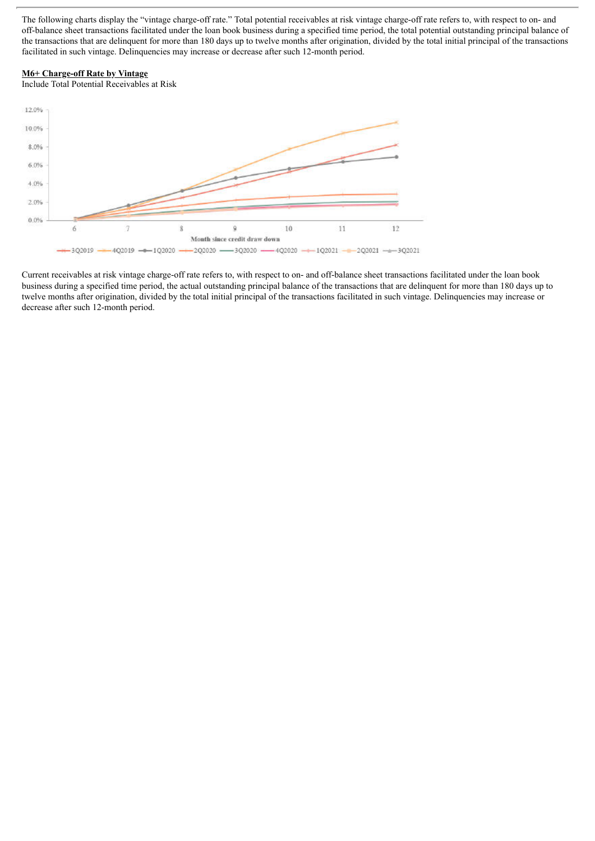The following charts display the "vintage charge-off rate." Total potential receivables at risk vintage charge-off rate refers to, with respect to on- and off-balance sheet transactions facilitated under the loan book business during a specified time period, the total potential outstanding principal balance of the transactions that are delinquent for more than 180 days up to twelve months after origination, divided by the total initial principal of the transactions facilitated in such vintage. Delinquencies may increase or decrease after such 12-month period.

#### **M6+ Charge-off Rate by Vintage**

Include Total Potential Receivables at Risk



Current receivables at risk vintage charge-off rate refers to, with respect to on- and off-balance sheet transactions facilitated under the loan book business during a specified time period, the actual outstanding principal balance of the transactions that are delinquent for more than 180 days up to twelve months after origination, divided by the total initial principal of the transactions facilitated in such vintage. Delinquencies may increase or decrease after such 12-month period.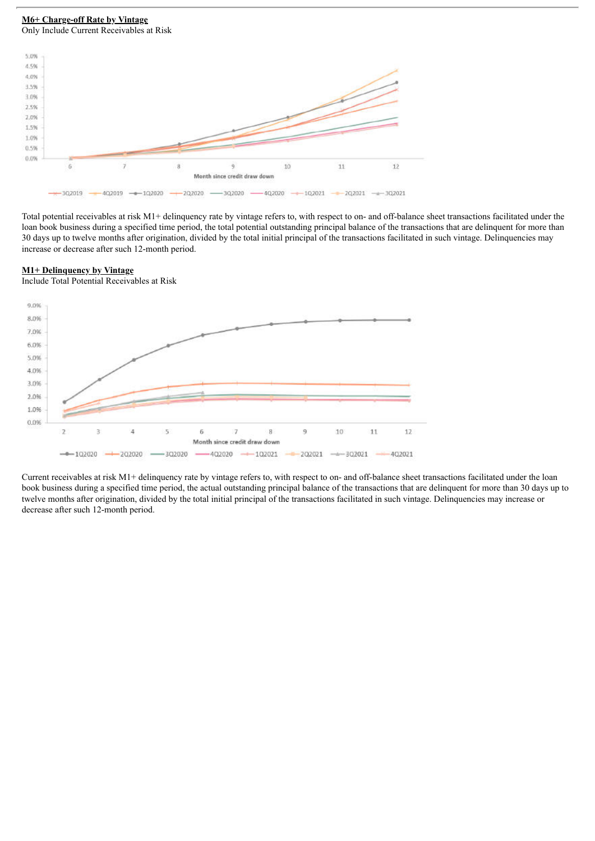#### **M6+ Charge-off Rate by Vintage** Only Include Current Receivables at Risk



Total potential receivables at risk M1+ delinquency rate by vintage refers to, with respect to on- and off-balance sheet transactions facilitated under the loan book business during a specified time period, the total potential outstanding principal balance of the transactions that are delinquent for more than 30 days up to twelve months after origination, divided by the total initial principal of the transactions facilitated in such vintage. Delinquencies may increase or decrease after such 12-month period.

#### **M1+ Delinquency by Vintage**

Include Total Potential Receivables at Risk



Current receivables at risk M1+ delinquency rate by vintage refers to, with respect to on- and off-balance sheet transactions facilitated under the loan book business during a specified time period, the actual outstanding principal balance of the transactions that are delinquent for more than 30 days up to twelve months after origination, divided by the total initial principal of the transactions facilitated in such vintage. Delinquencies may increase or decrease after such 12-month period.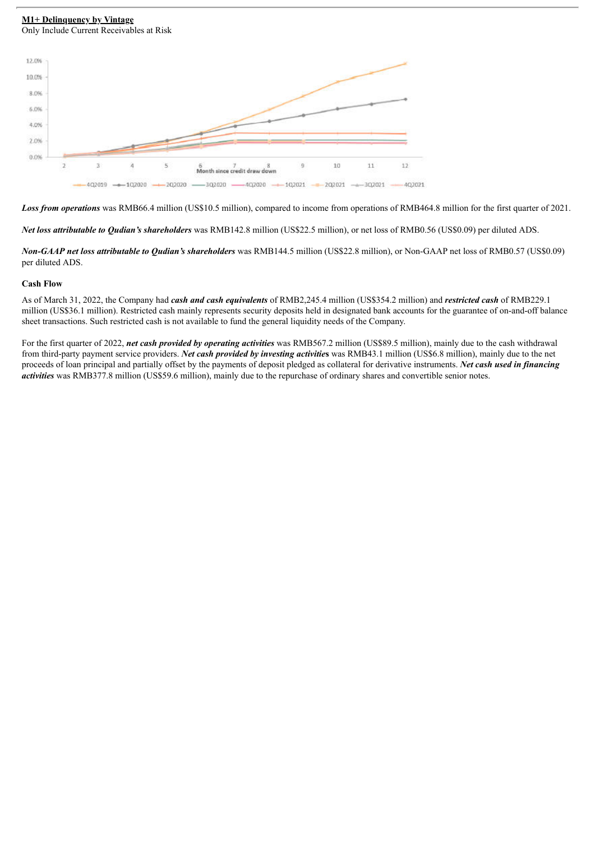#### **M1+ Delinquency by Vintage** Only Include Current Receivables at Risk



*Loss from operations* was RMB66.4 million (US\$10.5 million), compared to income from operations of RMB464.8 million for the first quarter of 2021.

*Net loss attributable to Qudian's shareholders* was RMB142.8 million (US\$22.5 million), or net loss of RMB0.56 (US\$0.09) per diluted ADS.

*Non-GAAP net loss attributable to Qudian's shareholders* was RMB144.5 million (US\$22.8 million), or Non-GAAP net loss of RMB0.57 (US\$0.09) per diluted ADS.

#### **Cash Flow**

As of March 31, 2022, the Company had *cash and cash equivalents* of RMB2,245.4 million (US\$354.2 million) and *restricted cash* of RMB229.1 million (US\$36.1 million). Restricted cash mainly represents security deposits held in designated bank accounts for the guarantee of on-and-off balance sheet transactions. Such restricted cash is not available to fund the general liquidity needs of the Company.

For the first quarter of 2022, *net cash provided by operating activities* was RMB567.2 million (US\$89.5 million), mainly due to the cash withdrawal from third-party payment service providers. *Net cash provided by investing activitie***s** was RMB43.1 million (US\$6.8 million), mainly due to the net proceeds of loan principal and partially offset by the payments of deposit pledged as collateral for derivative instruments. *Net cash used in financing activities* was RMB377.8 million (US\$59.6 million), mainly due to the repurchase of ordinary shares and convertible senior notes.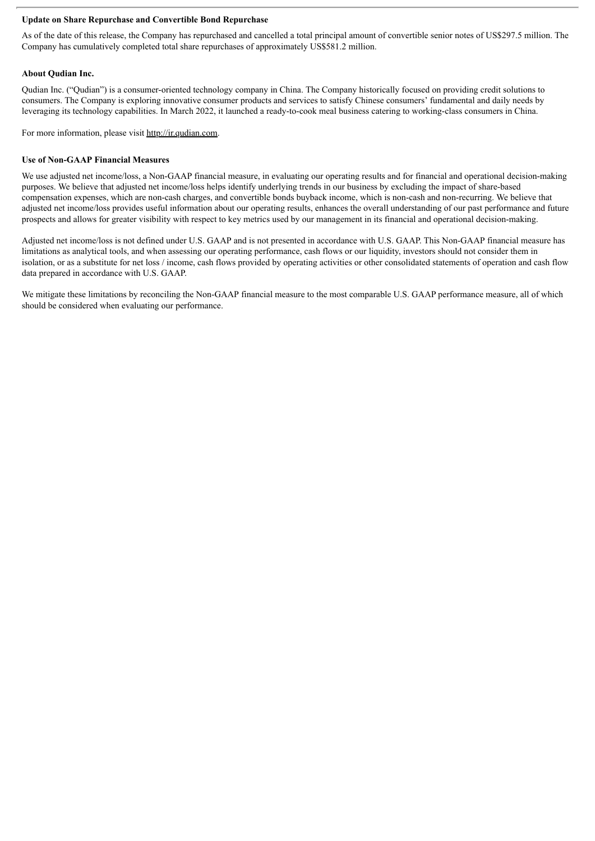#### **Update on Share Repurchase and Convertible Bond Repurchase**

As of the date of this release, the Company has repurchased and cancelled a total principal amount of convertible senior notes of US\$297.5 million. The Company has cumulatively completed total share repurchases of approximately US\$581.2 million.

#### **About Qudian Inc.**

Qudian Inc. ("Qudian") is a consumer-oriented technology company in China. The Company historically focused on providing credit solutions to consumers. The Company is exploring innovative consumer products and services to satisfy Chinese consumers' fundamental and daily needs by leveraging its technology capabilities. In March 2022, it launched a ready-to-cook meal business catering to working-class consumers in China.

For more information, please visit http://ir.qudian.com.

#### **Use of Non-GAAP Financial Measures**

We use adjusted net income/loss, a Non-GAAP financial measure, in evaluating our operating results and for financial and operational decision-making purposes. We believe that adjusted net income/loss helps identify underlying trends in our business by excluding the impact of share-based compensation expenses, which are non-cash charges, and convertible bonds buyback income, which is non-cash and non-recurring. We believe that adjusted net income/loss provides useful information about our operating results, enhances the overall understanding of our past performance and future prospects and allows for greater visibility with respect to key metrics used by our management in its financial and operational decision-making.

Adjusted net income/loss is not defined under U.S. GAAP and is not presented in accordance with U.S. GAAP. This Non-GAAP financial measure has limitations as analytical tools, and when assessing our operating performance, cash flows or our liquidity, investors should not consider them in isolation, or as a substitute for net loss / income, cash flows provided by operating activities or other consolidated statements of operation and cash flow data prepared in accordance with U.S. GAAP.

We mitigate these limitations by reconciling the Non-GAAP financial measure to the most comparable U.S. GAAP performance measure, all of which should be considered when evaluating our performance.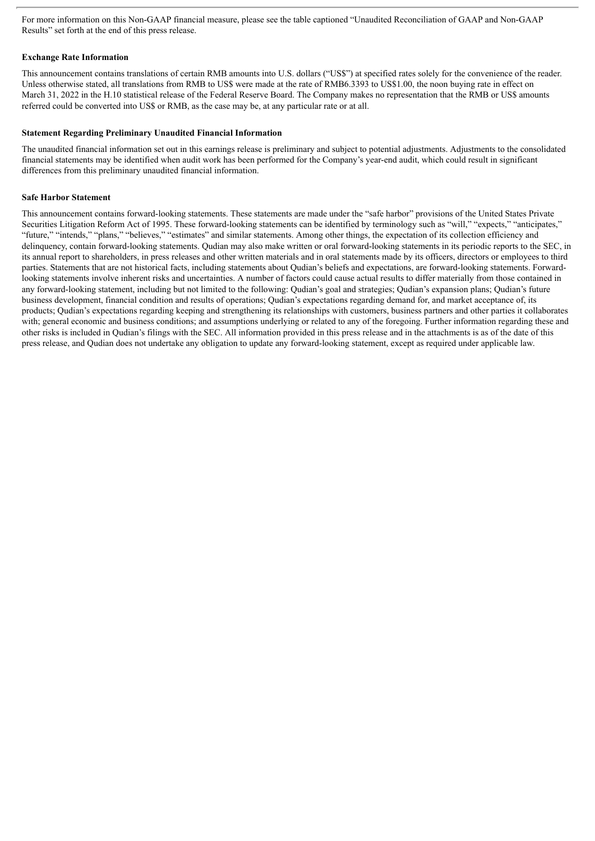For more information on this Non-GAAP financial measure, please see the table captioned "Unaudited Reconciliation of GAAP and Non-GAAP Results" set forth at the end of this press release.

#### **Exchange Rate Information**

This announcement contains translations of certain RMB amounts into U.S. dollars ("US\$") at specified rates solely for the convenience of the reader. Unless otherwise stated, all translations from RMB to US\$ were made at the rate of RMB6.3393 to US\$1.00, the noon buying rate in effect on March 31, 2022 in the H.10 statistical release of the Federal Reserve Board. The Company makes no representation that the RMB or US\$ amounts referred could be converted into US\$ or RMB, as the case may be, at any particular rate or at all.

#### **Statement Regarding Preliminary Unaudited Financial Information**

The unaudited financial information set out in this earnings release is preliminary and subject to potential adjustments. Adjustments to the consolidated financial statements may be identified when audit work has been performed for the Company's year-end audit, which could result in significant differences from this preliminary unaudited financial information.

#### **Safe Harbor Statement**

This announcement contains forward-looking statements. These statements are made under the "safe harbor" provisions of the United States Private Securities Litigation Reform Act of 1995. These forward-looking statements can be identified by terminology such as "will," "expects," "anticipates," "future," "intends," "plans," "believes," "estimates" and similar statements. Among other things, the expectation of its collection efficiency and delinquency, contain forward-looking statements. Qudian may also make written or oral forward-looking statements in its periodic reports to the SEC, in its annual report to shareholders, in press releases and other written materials and in oral statements made by its officers, directors or employees to third parties. Statements that are not historical facts, including statements about Qudian's beliefs and expectations, are forward-looking statements. Forwardlooking statements involve inherent risks and uncertainties. A number of factors could cause actual results to differ materially from those contained in any forward-looking statement, including but not limited to the following: Qudian's goal and strategies; Qudian's expansion plans; Qudian's future business development, financial condition and results of operations; Qudian's expectations regarding demand for, and market acceptance of, its products; Qudian's expectations regarding keeping and strengthening its relationships with customers, business partners and other parties it collaborates with; general economic and business conditions; and assumptions underlying or related to any of the foregoing. Further information regarding these and other risks is included in Qudian's filings with the SEC. All information provided in this press release and in the attachments is as of the date of this press release, and Qudian does not undertake any obligation to update any forward-looking statement, except as required under applicable law.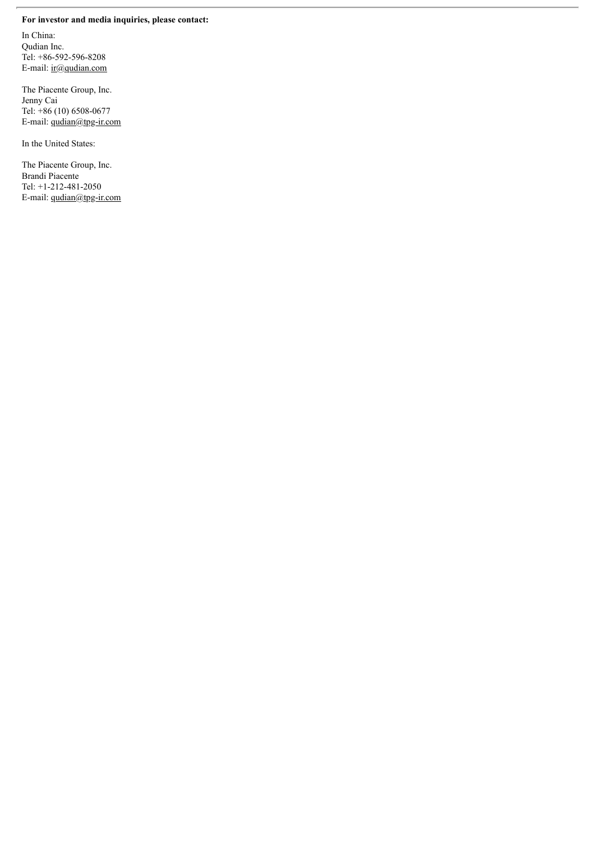## **For investor and media inquiries, please contact:**

In China: Qudian Inc. Tel: +86-592-596-8208 E-mail: ir@qudian.com

The Piacente Group, Inc. Jenny Cai Tel: +86 (10) 6508-0677 E-mail: qudian@tpg-ir.com

In the United States:

The Piacente Group, Inc. Brandi Piacente Tel: +1-212-481-2050 E-mail: qudian@tpg-ir.com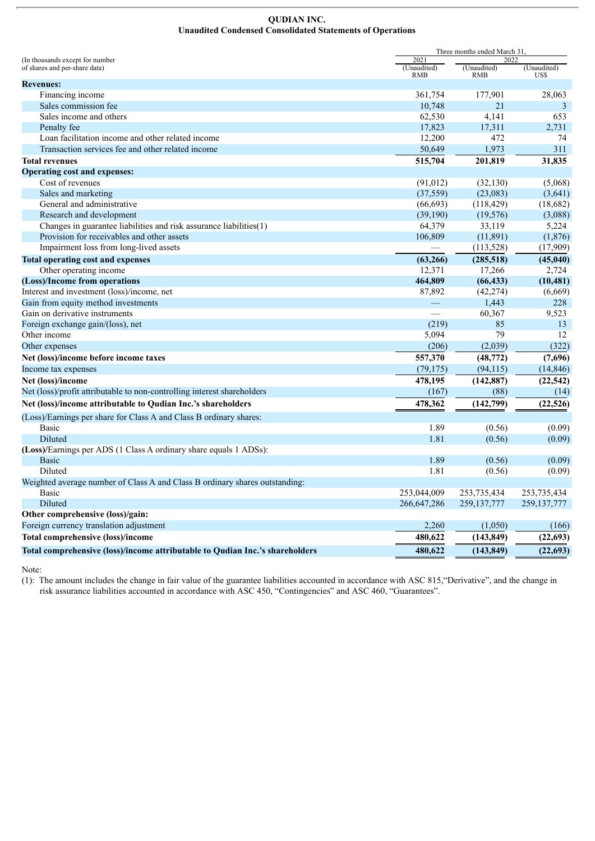#### **QUDIAN INC. Unaudited Condensed Consolidated Statements of Operations**

|                                                                              |                     | Three months ended March 31.<br>2022 |               |
|------------------------------------------------------------------------------|---------------------|--------------------------------------|---------------|
| (In thousands except for number<br>of shares and per-share data)             | 2021<br>(Unaudited) | (Unaudited)                          | (Unaudited)   |
|                                                                              | <b>RMB</b>          | <b>RMB</b>                           | US\$          |
| <b>Revenues:</b>                                                             |                     |                                      |               |
| Financing income                                                             | 361,754             | 177,901                              | 28,063        |
| Sales commission fee<br>Sales income and others                              | 10,748<br>62,530    | 21                                   | 3<br>653      |
|                                                                              | 17,823              | 4,141                                | 2,731         |
| Penalty fee<br>Loan facilitation income and other related income             | 12,200              | 17,311<br>472                        | 74            |
|                                                                              |                     |                                      |               |
| Transaction services fee and other related income                            | 50,649              | 1,973                                | 311           |
| <b>Total revenues</b>                                                        | 515,704             | 201,819                              | 31,835        |
| <b>Operating cost and expenses:</b>                                          |                     |                                      |               |
| Cost of revenues                                                             | (91, 012)           | (32, 130)                            | (5,068)       |
| Sales and marketing                                                          | (37, 559)           | (23,083)                             | (3,641)       |
| General and administrative                                                   | (66, 693)           | (118, 429)                           | (18,682)      |
| Research and development                                                     | (39,190)            | (19, 576)                            | (3,088)       |
| Changes in guarantee liabilities and risk assurance liabilities(1)           | 64,379              | 33,119                               | 5,224         |
| Provision for receivables and other assets                                   | 106,809             | (11,891)                             | (1, 876)      |
| Impairment loss from long-lived assets                                       |                     | (113, 528)                           | (17,909)      |
| <b>Total operating cost and expenses</b>                                     | (63, 266)           | (285, 518)                           | (45,040)      |
| Other operating income                                                       | 12,371              | 17,266                               | 2,724         |
| (Loss)/Income from operations                                                | 464,809             | (66, 433)                            | (10, 481)     |
| Interest and investment (loss)/income, net                                   | 87,892              | (42, 274)                            | (6,669)       |
| Gain from equity method investments                                          | $\qquad \qquad$     | 1,443                                | 228           |
| Gain on derivative instruments                                               |                     | 60,367                               | 9,523         |
| Foreign exchange gain/(loss), net                                            | (219)               | 85                                   | 13            |
| Other income                                                                 | 5,094               | 79                                   | 12            |
| Other expenses                                                               | (206)               | (2,039)                              | (322)         |
| Net (loss)/income before income taxes                                        | 557,370             | (48, 772)                            | (7,696)       |
| Income tax expenses                                                          | (79, 175)           | (94, 115)                            | (14, 846)     |
| Net (loss)/income                                                            | 478,195             | (142, 887)                           | (22, 542)     |
| Net (loss)/profit attributable to non-controlling interest shareholders      | (167)               | (88)                                 | (14)          |
| Net (loss)/income attributable to Qudian Inc.'s shareholders                 | 478,362             | (142, 799)                           | (22, 526)     |
| (Loss)/Earnings per share for Class A and Class B ordinary shares:           |                     |                                      |               |
| Basic                                                                        | 1.89                | (0.56)                               | (0.09)        |
| Diluted                                                                      | 1.81                | (0.56)                               | (0.09)        |
| (Loss)/Earnings per ADS (1 Class A ordinary share equals 1 ADSs):            |                     |                                      |               |
| <b>Basic</b>                                                                 | 1.89                | (0.56)                               | (0.09)        |
| Diluted                                                                      | 1.81                | (0.56)                               | (0.09)        |
| Weighted average number of Class A and Class B ordinary shares outstanding:  |                     |                                      |               |
| Basic                                                                        | 253,044,009         | 253,735,434                          | 253, 735, 434 |
| Diluted                                                                      | 266, 647, 286       | 259, 137, 777                        | 259, 137, 777 |
| Other comprehensive (loss)/gain:                                             |                     |                                      |               |
| Foreign currency translation adjustment                                      | 2,260               | (1,050)                              | (166)         |
| <b>Total comprehensive (loss)/income</b>                                     | 480,622             | (143, 849)                           | (22, 693)     |
| Total comprehensive (loss)/income attributable to Qudian Inc.'s shareholders | 480,622             | (143, 849)                           | (22, 693)     |

Note:

(1): The amount includes the change in fair value of the guarantee liabilities accounted in accordance with ASC 815,"Derivative", and the change in risk assurance liabilities accounted in accordance with ASC 450, "Contingencies" and ASC 460, "Guarantees".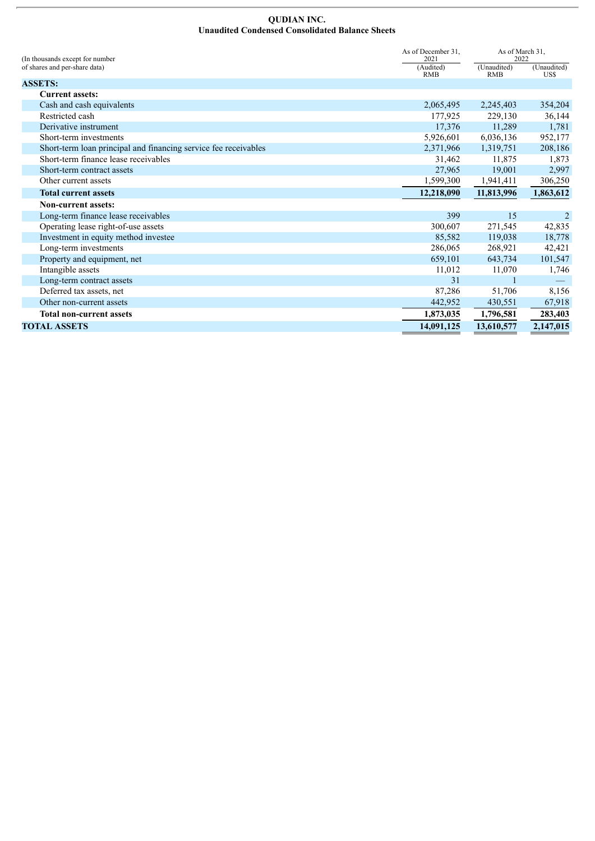#### **QUDIAN INC. Unaudited Condensed Consolidated Balance Sheets**

| As of December 31,<br>(In thousands except for number)<br>2021  |                         | As of March 31,<br>2022   |                     |
|-----------------------------------------------------------------|-------------------------|---------------------------|---------------------|
| of shares and per-share data)                                   | (Audited)<br><b>RMB</b> | (Unaudited)<br><b>RMB</b> | (Unaudited)<br>US\$ |
| <b>ASSETS:</b>                                                  |                         |                           |                     |
| <b>Current assets:</b>                                          |                         |                           |                     |
| Cash and cash equivalents                                       | 2,065,495               | 2,245,403                 | 354,204             |
| Restricted cash                                                 | 177,925                 | 229,130                   | 36,144              |
| Derivative instrument                                           | 17,376                  | 11,289                    | 1,781               |
| Short-term investments                                          | 5,926,601               | 6,036,136                 | 952,177             |
| Short-term loan principal and financing service fee receivables | 2,371,966               | 1,319,751                 | 208,186             |
| Short-term finance lease receivables                            | 31,462                  | 11,875                    | 1,873               |
| Short-term contract assets                                      | 27,965                  | 19,001                    | 2,997               |
| Other current assets                                            | 1,599,300               | 1,941,411                 | 306,250             |
| <b>Total current assets</b>                                     | 12,218,090              | 11,813,996                | 1,863,612           |
| <b>Non-current assets:</b>                                      |                         |                           |                     |
| Long-term finance lease receivables                             | 399                     | 15                        | 2                   |
| Operating lease right-of-use assets                             | 300,607                 | 271,545                   | 42,835              |
| Investment in equity method investee                            | 85,582                  | 119,038                   | 18,778              |
| Long-term investments                                           | 286,065                 | 268,921                   | 42,421              |
| Property and equipment, net                                     | 659,101                 | 643,734                   | 101,547             |
| Intangible assets                                               | 11,012                  | 11,070                    | 1,746               |
| Long-term contract assets                                       | 31                      |                           |                     |
| Deferred tax assets, net                                        | 87,286                  | 51,706                    | 8,156               |
| Other non-current assets                                        | 442,952                 | 430,551                   | 67,918              |
| <b>Total non-current assets</b>                                 | 1,873,035               | 1,796,581                 | 283,403             |
| <b>TOTAL ASSETS</b>                                             | 14,091,125              | 13,610,577                | 2,147,015           |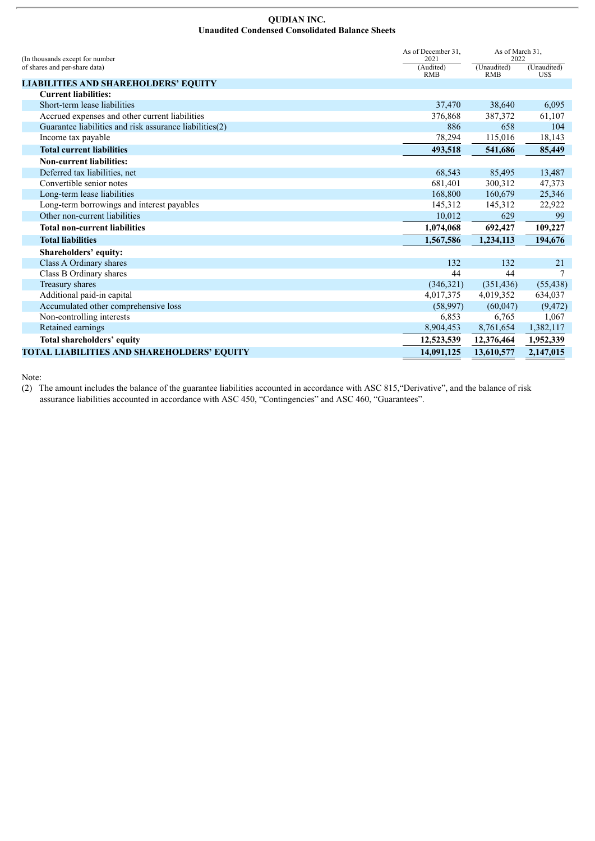#### **QUDIAN INC. Unaudited Condensed Consolidated Balance Sheets**

| As of December 31.<br>(In thousands except for number<br>2021 |                         | As of March 31,<br>2022   |                     |
|---------------------------------------------------------------|-------------------------|---------------------------|---------------------|
| of shares and per-share data)                                 | (Audited)<br><b>RMB</b> | (Unaudited)<br><b>RMB</b> | (Unaudited)<br>US\$ |
| <b>LIABILITIES AND SHAREHOLDERS' EQUITY</b>                   |                         |                           |                     |
| <b>Current liabilities:</b>                                   |                         |                           |                     |
| Short-term lease liabilities                                  | 37,470                  | 38,640                    | 6,095               |
| Accrued expenses and other current liabilities                | 376,868                 | 387,372                   | 61,107              |
| Guarantee liabilities and risk assurance liabilities (2)      | 886                     | 658                       | 104                 |
| Income tax payable                                            | 78,294                  | 115,016                   | 18,143              |
| <b>Total current liabilities</b>                              | 493.518                 | 541,686                   | 85,449              |
| <b>Non-current liabilities:</b>                               |                         |                           |                     |
| Deferred tax liabilities, net                                 | 68,543                  | 85,495                    | 13,487              |
| Convertible senior notes                                      | 681,401                 | 300,312                   | 47,373              |
| Long-term lease liabilities                                   | 168,800                 | 160,679                   | 25,346              |
| Long-term borrowings and interest payables                    | 145,312                 | 145,312                   | 22,922              |
| Other non-current liabilities                                 | 10,012                  | 629                       | 99                  |
| <b>Total non-current liabilities</b>                          | 1,074,068               | 692,427                   | 109,227             |
| <b>Total liabilities</b>                                      | 1,567,586               | 1,234,113                 | 194,676             |
| Shareholders' equity:                                         |                         |                           |                     |
| Class A Ordinary shares                                       | 132                     | 132                       | 21                  |
| Class B Ordinary shares                                       | 44                      | 44                        |                     |
| Treasury shares                                               | (346, 321)              | (351, 436)                | (55, 438)           |
| Additional paid-in capital                                    | 4,017,375               | 4,019,352                 | 634,037             |
| Accumulated other comprehensive loss                          | (58,997)                | (60,047)                  | (9, 472)            |
| Non-controlling interests                                     | 6,853                   | 6,765                     | 1,067               |
| Retained earnings                                             | 8,904,453               | 8,761,654                 | 1,382,117           |
| Total shareholders' equity                                    | 12,523,539              | 12,376,464                | 1,952,339           |
| TOTAL LIABILITIES AND SHAREHOLDERS' EQUITY                    | 14,091,125              | 13,610,577                | 2,147,015           |

Note:

(2) The amount includes the balance of the guarantee liabilities accounted in accordance with ASC 815,"Derivative", and the balance of risk assurance liabilities accounted in accordance with ASC 450, "Contingencies" and ASC 460, "Guarantees".